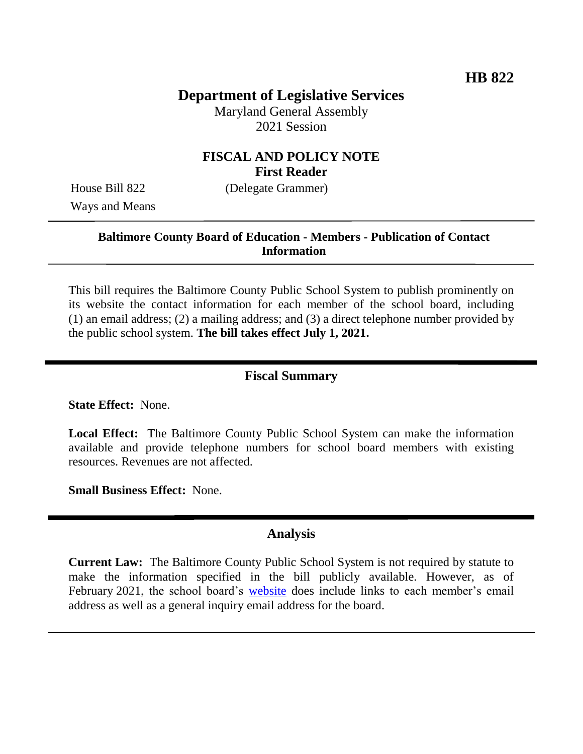## **Department of Legislative Services**

Maryland General Assembly 2021 Session

### **FISCAL AND POLICY NOTE First Reader**

Ways and Means

House Bill 822 (Delegate Grammer)

### **Baltimore County Board of Education - Members - Publication of Contact Information**

This bill requires the Baltimore County Public School System to publish prominently on its website the contact information for each member of the school board, including (1) an email address; (2) a mailing address; and (3) a direct telephone number provided by the public school system. **The bill takes effect July 1, 2021.**

#### **Fiscal Summary**

**State Effect:** None.

**Local Effect:** The Baltimore County Public School System can make the information available and provide telephone numbers for school board members with existing resources. Revenues are not affected.

**Small Business Effect:** None.

#### **Analysis**

**Current Law:** The Baltimore County Public School System is not required by statute to make the information specified in the bill publicly available. However, as of February 2021, the school board's [website](https://www.bcps.org/leadership/board#h.9kvpahuh97dq) does include links to each member's email address as well as a general inquiry email address for the board.